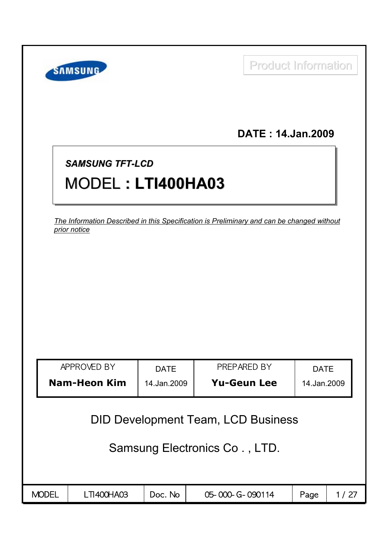|              | <b>SAMSUNG</b>                                                                                            |             | <b>Product Information</b> |             |      |  |  |  |  |  |  |
|--------------|-----------------------------------------------------------------------------------------------------------|-------------|----------------------------|-------------|------|--|--|--|--|--|--|
|              |                                                                                                           |             | DATE: 14.Jan.2009          |             |      |  |  |  |  |  |  |
|              | <b>SAMSUNG TFT-LCD</b><br>MODEL: LTI400HA03                                                               |             |                            |             |      |  |  |  |  |  |  |
|              | The Information Described in this Specification is Preliminary and can be changed without<br>prior notice |             |                            |             |      |  |  |  |  |  |  |
|              |                                                                                                           |             |                            |             |      |  |  |  |  |  |  |
|              |                                                                                                           |             |                            |             |      |  |  |  |  |  |  |
|              |                                                                                                           |             |                            |             |      |  |  |  |  |  |  |
|              | APPROVED BY                                                                                               | <b>DATE</b> | PRFPARFD BY                | <b>DATE</b> |      |  |  |  |  |  |  |
|              | <b>Nam-Heon Kim</b>                                                                                       | 14.Jan.2009 | <b>Yu-Geun Lee</b>         | 14.Jan.2009 |      |  |  |  |  |  |  |
|              | <b>DID Development Team, LCD Business</b><br>Samsung Electronics Co., LTD.                                |             |                            |             |      |  |  |  |  |  |  |
| <b>MODEL</b> | LTI400HA03                                                                                                | Doc. No     | 05-000-G-090114            | Page        | 1/27 |  |  |  |  |  |  |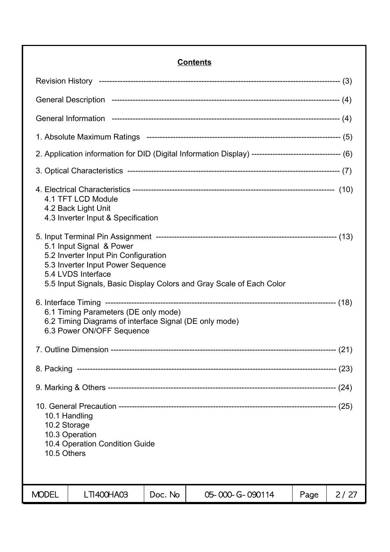## **Contents**

| 2. Application information for DID (Digital Information Display) ---------------------------------- (6)                                                                                             |         |                 |      |      |  |  |  |
|-----------------------------------------------------------------------------------------------------------------------------------------------------------------------------------------------------|---------|-----------------|------|------|--|--|--|
|                                                                                                                                                                                                     |         |                 |      |      |  |  |  |
| 4.1 TFT LCD Module<br>4.2 Back Light Unit<br>4.3 Inverter Input & Specification                                                                                                                     |         |                 |      |      |  |  |  |
| 5.1 Input Signal & Power<br>5.2 Inverter Input Pin Configuration<br>5.3 Inverter Input Power Sequence<br>5.4 LVDS Interface<br>5.5 Input Signals, Basic Display Colors and Gray Scale of Each Color |         |                 |      |      |  |  |  |
| 6.1 Timing Parameters (DE only mode)<br>6.2 Timing Diagrams of interface Signal (DE only mode)<br>6.3 Power ON/OFF Sequence                                                                         |         |                 |      |      |  |  |  |
|                                                                                                                                                                                                     |         |                 |      |      |  |  |  |
|                                                                                                                                                                                                     |         |                 |      |      |  |  |  |
|                                                                                                                                                                                                     |         |                 |      |      |  |  |  |
| 10.1 Handling<br>10.2 Storage<br>10.3 Operation<br>10.4 Operation Condition Guide<br>10.5 Others                                                                                                    |         |                 |      |      |  |  |  |
| <b>MODEL</b><br><b>LTI400HA03</b>                                                                                                                                                                   | Doc. No | 05-000-G-090114 | Page | 2/27 |  |  |  |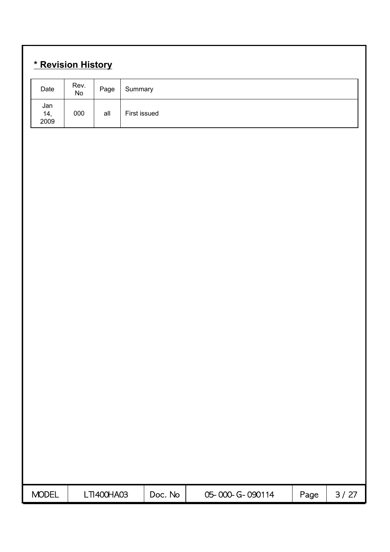# **\* Revision History**

| Date               | Rev.<br>No | Page       | Summary      |         |                 |      |        |
|--------------------|------------|------------|--------------|---------|-----------------|------|--------|
| Jan<br>14,<br>2009 | 000        | all        | First issued |         |                 |      |        |
|                    |            |            |              |         |                 |      |        |
|                    |            |            |              |         |                 |      |        |
|                    |            |            |              |         |                 |      |        |
|                    |            |            |              |         |                 |      |        |
|                    |            |            |              |         |                 |      |        |
|                    |            |            |              |         |                 |      |        |
|                    |            |            |              |         |                 |      |        |
|                    |            |            |              |         |                 |      |        |
|                    |            |            |              |         |                 |      |        |
|                    |            |            |              |         |                 |      |        |
|                    |            |            |              |         |                 |      |        |
|                    |            |            |              |         |                 |      |        |
|                    |            |            |              |         |                 |      |        |
|                    |            |            |              |         |                 |      |        |
|                    |            |            |              |         |                 |      |        |
|                    |            |            |              |         |                 |      |        |
| <b>MODEL</b>       |            | LTI400HA03 |              | Doc. No | 05-000-G-090114 | Page | $3/27$ |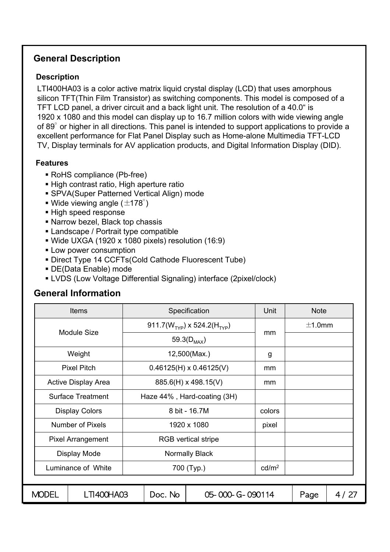## **General Description**

#### **Description**

LTI400HA03 is a color active matrix liquid crystal display (LCD) that uses amorphous silicon TFT(Thin Film Transistor) as switching components. This model is composed of a TFT LCD panel, a driver circuit and a back light unit. The resolution of a 40.0" is 1920 x 1080 and this model can display up to 16.7 million colors with wide viewing angle of 89° or higher in all directions. This panel is intended to support applications to provide a excellent performance for Flat Panel Display such as Home-alone Multimedia TFT-LCD TV, Display terminals for AV application products, and Digital Information Display (DID).

#### **Features**

- RoHS compliance (Pb-free)
- High contrast ratio, High aperture ratio
- SPVA(Super Patterned Vertical Align) mode
- Wide viewing angle ( $\pm$ 178°)
- High speed response
- Narrow bezel, Black top chassis
- **Landscape / Portrait type compatible**
- Wide UXGA (1920 x 1080 pixels) resolution (16:9)
- **Low power consumption**
- Direct Type 14 CCFTs(Cold Cathode Fluorescent Tube)
- DE(Data Enable) mode
- LVDS (Low Voltage Differential Signaling) interface (2pixel/clock)

## **General Information**

|              | <b>Items</b>               |                                | Specification                           | Unit   | <b>Note</b> |      |
|--------------|----------------------------|--------------------------------|-----------------------------------------|--------|-------------|------|
|              | <b>Module Size</b>         |                                | 911.7( $W_{TYP}$ ) x 524.2( $H_{TYP}$ ) | mm     | $\pm$ 1.0mm |      |
|              |                            |                                | 59.3( $D_{MAX}$ )                       |        |             |      |
|              | Weight                     |                                | 12,500(Max.)                            | g      |             |      |
|              | <b>Pixel Pitch</b>         | $0.46125(H) \times 0.46125(V)$ |                                         |        |             |      |
|              | <b>Active Display Area</b> | 885.6(H) x 498.15(V)           |                                         |        |             |      |
|              | <b>Surface Treatment</b>   | Haze 44%, Hard-coating (3H)    |                                         |        |             |      |
|              | <b>Display Colors</b>      |                                | 8 bit - 16.7M                           | colors |             |      |
|              | <b>Number of Pixels</b>    |                                | 1920 x 1080                             | pixel  |             |      |
|              | <b>Pixel Arrangement</b>   |                                | <b>RGB</b> vertical stripe              |        |             |      |
|              | Display Mode               |                                | <b>Normally Black</b>                   |        |             |      |
|              | Luminance of White         |                                | 700 (Typ.)                              |        |             |      |
|              |                            |                                |                                         |        |             |      |
| <b>MODEL</b> | LTI400HA03                 | Doc. No                        | 05-000-G-090114                         |        | Page        | 4/27 |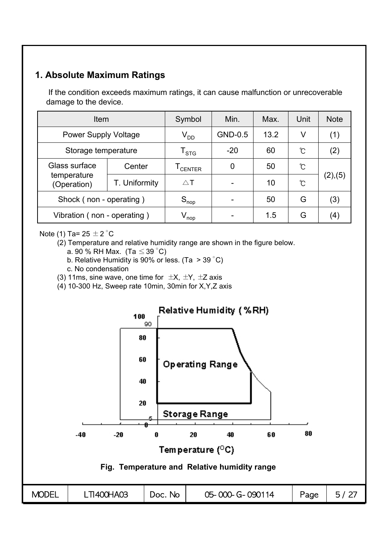## **1. Absolute Maximum Ratings**

If the condition exceeds maximum ratings, it can cause malfunction or unrecoverable damage to the device.

| Item                        |                            | Symbol                      | Min.  | Max. | Unit     | <b>Note</b> |
|-----------------------------|----------------------------|-----------------------------|-------|------|----------|-------------|
| <b>Power Supply Voltage</b> | $\mathsf{V}_{\mathsf{DD}}$ | GND-0.5                     | 13.2  | V    | (1)      |             |
| Storage temperature         |                            | $\mathsf{T}_{\textsf{STG}}$ | $-20$ | 60   | ຽ        | (2)         |
| Glass surface               | Center                     | I CENTER                    | 0     | 50   | Ĉ        |             |
| temperature<br>(Operation)  | T. Uniformity              | $\triangle$ T               |       | 10   | $\infty$ | (2),(5)     |
| Shock (non - operating)     |                            | $S_{\sf nop}$               |       | 50   | G        | (3)         |
| Vibration (non - operating) |                            | $V_{\mathsf{nop}}$          |       | 1.5  | G        | (4)         |

#### Note (1) Ta=  $25 \pm 2$  °C

(2) Temperature and relative humidity range are shown in the figure below.

- a. 90 % RH Max. (Ta  $\leq$  39 °C)
- b. Relative Humidity is 90% or less. (Ta  $>$  39 °C)
- c. No condensation
- (3) 11ms, sine wave, one time for  $\pm X$ ,  $\pm Y$ ,  $\pm Z$  axis

(4) 10-300 Hz, Sweep rate 10min, 30min for X,Y,Z axis

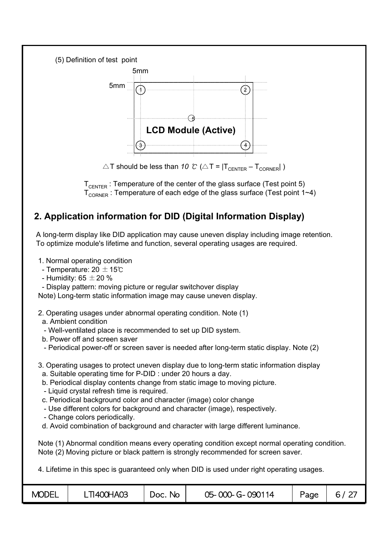



 $\triangle T$  should be less than *10 °C* ( $\triangle T = |T_{\text{CENTER}} - T_{\text{CORNER}}|$ )

 $T_{\text{CHTFR}}$ : Temperature of the center of the glass surface (Test point 5)  $T_{\text{CORNER}}$ : Temperature of each edge of the glass surface (Test point 1~4)

## **2. Application information for DID (Digital Information Display)**

A long-term display like DID application may cause uneven display including image retention. To optimize module's lifetime and function, several operating usages are required.

1. Normal operating condition

- Temperature: 20  $\pm$  15℃
- Humidity: 65  $\pm$  20 %
- Display pattern: moving picture or regular switchover display

Note) Long-term static information image may cause uneven display.

- 2. Operating usages under abnormal operating condition. Note (1)
- a. Ambient condition
- Well-ventilated place is recommended to set up DID system.
- b. Power off and screen saver
- Periodical power-off or screen saver is needed after long-term static display. Note (2)
- 3. Operating usages to protect uneven display due to long-term static information display
	- a. Suitable operating time for P-DID : under 20 hours a day.
	- b. Periodical display contents change from static image to moving picture.
	- Liquid crystal refresh time is required.
	- c. Periodical background color and character (image) color change
	- Use different colors for background and character (image), respectively.
	- Change colors periodically.
- d. Avoid combination of background and character with large different luminance.

Note (1) Abnormal condition means every operating condition except normal operating condition. Note (2) Moving picture or black pattern is strongly recommended for screen saver.

4. Lifetime in this spec is guaranteed only when DID is used under right operating usages.

| <b>MODEL</b> | .TI400HA03 | No.<br>Doc. | 05-000-G-090114 | Page | 6. |
|--------------|------------|-------------|-----------------|------|----|
|--------------|------------|-------------|-----------------|------|----|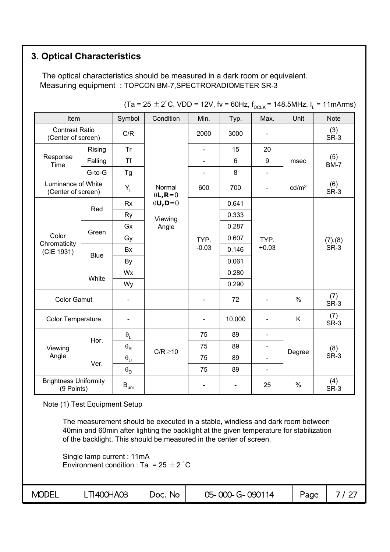## **3. Optical Characteristics**

The optical characteristics should be measured in a dark room or equivalent. Measuring equipment : TOPCON BM-7,SPECTRORADIOMETER SR-3

| Item                                        |             | Symbol                             | Condition                 | Min.                     | Typ.           | Max.                         | Unit              | <b>Note</b>        |
|---------------------------------------------|-------------|------------------------------------|---------------------------|--------------------------|----------------|------------------------------|-------------------|--------------------|
| <b>Contrast Ratio</b><br>(Center of screen) |             | C/R                                |                           | 2000                     | 3000           |                              |                   | (3)<br>SR-3        |
|                                             | Rising      | <b>Tr</b>                          |                           | $\overline{a}$           | 15             | 20                           |                   |                    |
| Response<br>Time                            | Falling     | <b>Tf</b>                          |                           | L,                       | $6\phantom{1}$ | 9                            | msec              | (5)<br><b>BM-7</b> |
|                                             | G-to-G      | Tg                                 |                           | $\blacksquare$           | 8              | $\blacksquare$               |                   |                    |
| Luminance of White<br>(Center of screen)    |             | $Y_L$                              | Normal<br>$\theta L, R=0$ | 600                      | 700            | $\overline{\phantom{0}}$     | cd/m <sup>2</sup> | (6)<br>SR-3        |
|                                             |             | <b>Rx</b>                          | $\theta$ U,D=0            |                          | 0.641          |                              |                   |                    |
|                                             | Red         | <b>Ry</b>                          | Viewing                   |                          | 0.333          |                              |                   | (7), (8)<br>SR-3   |
| Color                                       |             | Gx                                 | Angle                     |                          | 0.287          |                              |                   |                    |
|                                             | Green       | Gy                                 |                           | TYP.                     | 0.607          | TYP.                         |                   |                    |
| Chromaticity<br>(CIE 1931)                  |             | <b>Bx</b>                          |                           | $-0.03$                  | 0.146          | $+0.03$                      |                   |                    |
|                                             | <b>Blue</b> | By                                 |                           |                          | 0.061          |                              |                   |                    |
|                                             |             | Wx                                 |                           |                          | 0.280          |                              |                   |                    |
|                                             | White       | Wy                                 |                           |                          | 0.290          |                              |                   |                    |
| <b>Color Gamut</b>                          |             | $\blacksquare$                     |                           | $\overline{\phantom{0}}$ | 72             |                              | $\%$              | (7)<br>SR-3        |
| Color Temperature                           |             |                                    |                           | $\overline{\phantom{0}}$ | 10,000         |                              | K                 | (7)<br>SR-3        |
|                                             |             | $\boldsymbol{\theta}_{\mathsf{L}}$ |                           | 75                       | 89             | $\blacksquare$               |                   |                    |
| Viewing                                     | Hor.        | $\boldsymbol{\theta}_\mathsf{R}$   |                           | 75                       | 89             |                              |                   | (8)                |
| Angle                                       |             | $\boldsymbol{\theta}_\mathsf{U}$   | $C/R \ge 10$              | 75                       | 89             | $\qquad \qquad \blacksquare$ | Degree            | SR-3               |
|                                             | Ver.        | $\boldsymbol{\theta}_\mathsf{D}$   |                           | 75                       | 89             | $\blacksquare$               |                   |                    |
| <b>Brightness Uniformity</b><br>(9 Points)  |             | $\mathsf{B}_{\mathsf{uni}}$        |                           | $\overline{\phantom{0}}$ |                | 25                           | $\%$              | (4)<br>SR-3        |

 $(Ta = 25 \pm 2^{\circ}$ C, VDD = 12V, fv = 60Hz, f<sub>DCLK</sub> = 148.5MHz, l<sub>1</sub> = 11mArms)

Note (1) Test Equipment Setup

The measurement should be executed in a stable, windless and dark room between 40min and 60min after lighting the backlight at the given temperature for stabilization of the backlight. This should be measured in the center of screen.

Single lamp current : 11mA Environment condition : Ta =  $25 \pm 2^{\circ}$ C

| <b>MODEL</b> | <b>TI400HA03</b> | Doc. No | 05-000-G-090114 | Page |  |
|--------------|------------------|---------|-----------------|------|--|
|              |                  |         |                 |      |  |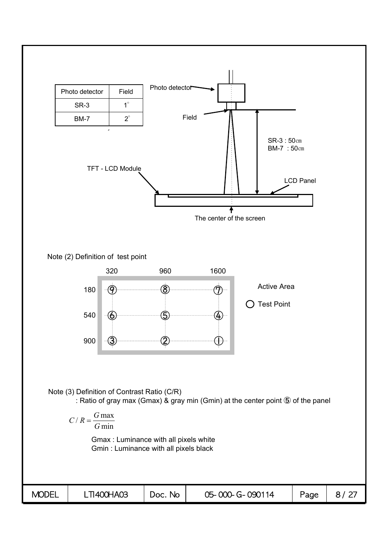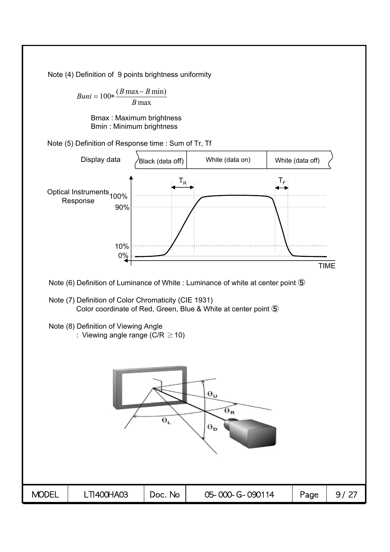Note (4) Definition of 9 points brightness uniformity

 $Buni = 100 * \frac{(B \max - B \min)}{B}$ *B* max

> Bmax : Maximum brightness Bmin : Minimum brightness

Note (5) Definition of Response time : Sum of Tr, Tf

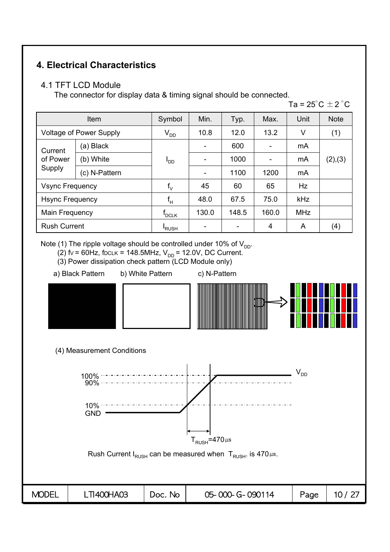## **4. Electrical Characteristics**

#### 4.1 TFT LCD Module

The connector for display data & timing signal should be connected.

Ta =  $25^{\circ}$ C  $\pm$  2  $^{\circ}$ C

|                                | <b>Item</b>   | Symbol            | Min.  | Typ.  | Max.  | Unit       | <b>Note</b> |
|--------------------------------|---------------|-------------------|-------|-------|-------|------------|-------------|
| <b>Voltage of Power Supply</b> |               | $V_{DD}$          | 10.8  | 12.0  | 13.2  | V          | (1)         |
| Current<br>of Power<br>Supply  | (a) Black     |                   |       | 600   |       | mA         | (2),(3)     |
|                                | (b) White     | ים <sup>ו</sup>   |       | 1000  |       | mA         |             |
|                                | (c) N-Pattern |                   |       | 1100  | 1200  | mA         |             |
| <b>Vsync Frequency</b>         |               | $f_{\mathcal{N}}$ | 45    | 60    | 65    | Hz         |             |
| <b>Hsync Frequency</b>         |               | $f_H$             | 48.0  | 67.5  | 75.0  | kHz        |             |
| Main Frequency                 |               | $f_{DCLK}$        | 130.0 | 148.5 | 160.0 | <b>MHz</b> |             |
| <b>Rush Current</b>            |               | <b>RUSH</b>       |       |       | 4     | A          | (4)         |

Note (1) The ripple voltage should be controlled under 10% of  $V_{DD}$ .

- (2)  $fv = 60Hz$ , focus = 148.5MHz,  $V_{DD} = 12.0V$ , DC Current.
- (3) Power dissipation check pattern (LCD Module only)
- a) Black Pattern b) White Pattern c) N-Pattern
- 



(4) Measurement Conditions

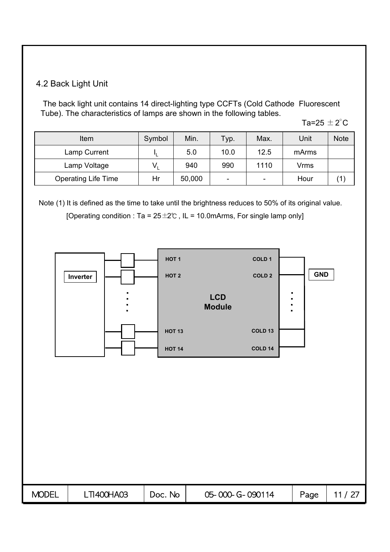## 4.2 Back Light Unit

The back light unit contains 14 direct-lighting type CCFTs (Cold Cathode Fluorescent Tube). The characteristics of lamps are shown in the following tables.

Ta=25  $\pm$  2 $^{\circ}$ C

| Item                       | Symbol | Min.   | Typ. | Max.                     | Unit        | <b>Note</b> |
|----------------------------|--------|--------|------|--------------------------|-------------|-------------|
| Lamp Current               |        | 5.0    | 10.0 | 12.5                     | mArms       |             |
| Lamp Voltage               |        | 940    | 990  | 1110                     | <b>Vrms</b> |             |
| <b>Operating Life Time</b> | Hr     | 50,000 | -    | $\overline{\phantom{0}}$ | Hour        |             |

Note (1) It is defined as the time to take until the brightness reduces to 50% of its original value. [Operating condition : Ta =  $25 \pm 2^{\circ}$  , IL = 10.0mArms, For single lamp only]

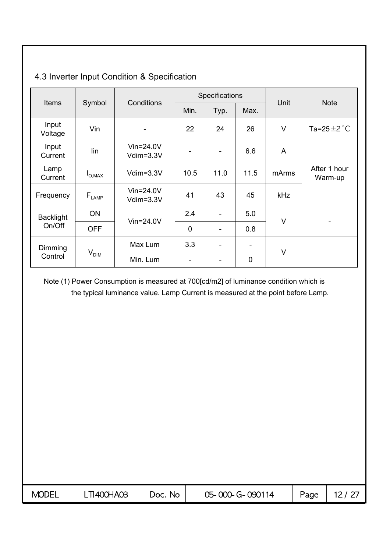|                  |                              | Conditions                   |             | Specifications           |      |            | <b>Note</b>               |  |
|------------------|------------------------------|------------------------------|-------------|--------------------------|------|------------|---------------------------|--|
| <b>Items</b>     | Symbol                       |                              | Min.        | Typ.                     | Max. | Unit       |                           |  |
| Input<br>Voltage | Vin                          |                              | 22          | 24                       | 26   | $\vee$     | Ta=25 $\pm$ 2 $\degree$ C |  |
| Input<br>Current | lin                          | $V$ in=24.0V<br>$Vdim=3.3V$  | -           | ۰                        | 6.6  | A          |                           |  |
| Lamp<br>Current  | $I_{\text{O,MAX}}$           | $Vdim=3.3V$                  | 10.5        | 11.0                     | 11.5 | mArms      | After 1 hour<br>Warm-up   |  |
| Frequency        | $\mathsf{F}_{\textsf{LAMP}}$ | $V$ in=24.0V<br>Vdim=3.3V    | 41          | 43                       | 45   | <b>kHz</b> |                           |  |
| <b>Backlight</b> | ON                           | $V$ in=24.0V                 | 2.4         | $\overline{\phantom{a}}$ | 5.0  | V          |                           |  |
| On/Off           | <b>OFF</b>                   |                              | $\mathbf 0$ | $\overline{\phantom{a}}$ | 0.8  |            |                           |  |
| Dimming          |                              | Max Lum                      | 3.3         | $\overline{\phantom{a}}$ | -    | $\vee$     |                           |  |
| Control          |                              | V <sub>DIM</sub><br>Min. Lum |             |                          | 0    |            |                           |  |

## 4.3 Inverter Input Condition & Specification

Note (1) Power Consumption is measured at 700[cd/m2] of luminance condition which is the typical luminance value. Lamp Current is measured at the point before Lamp.

| <b>MODEL</b> | <b>TI400HA03</b> | No.<br>Doc. | 05-000-G-090114 | Page |  |
|--------------|------------------|-------------|-----------------|------|--|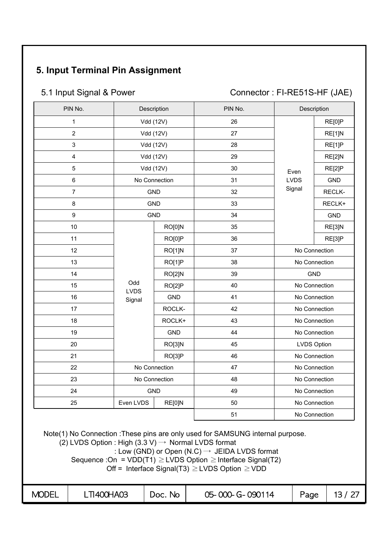# **5. Input Terminal Pin Assignment**

5.1 Input Signal & Power Connector : FI-RE51S-HF (JAE)

| PIN No.                 |                    | Description   | PIN No. |             | Description        |
|-------------------------|--------------------|---------------|---------|-------------|--------------------|
| $\mathbf{1}$            | Vdd (12V)          |               | 26      |             | RE[0]P             |
| $\overline{2}$          |                    | Vdd (12V)     | 27      |             | RE[1]N             |
| $\mathbf{3}$            |                    | Vdd (12V)     | 28      |             | RE[1]P             |
| $\overline{\mathbf{4}}$ | Vdd (12V)          |               | 29      |             | RE[2]N             |
| $\overline{5}$          |                    | Vdd (12V)     | 30      | Even        | RE[2]P             |
| $\,6\,$                 |                    | No Connection | 31      | <b>LVDS</b> | GND                |
| $\overline{7}$          |                    | <b>GND</b>    | 32      | Signal      | RECLK-             |
| 8                       |                    | <b>GND</b>    | 33      |             | RECLK+             |
| 9                       | <b>GND</b>         |               | 34      |             | <b>GND</b>         |
| 10                      |                    | RO[0]N        | 35      |             | RE[3]N             |
| 11                      |                    | RO[0]P        | 36      |             | RE[3]P             |
| 12                      |                    | RO[1]N        | 37      |             | No Connection      |
| 13                      |                    | RO[1]P        | 38      |             | No Connection      |
| 14                      |                    | RO[2]N        | 39      |             | <b>GND</b>         |
| 15                      | Odd<br><b>LVDS</b> | RO[2]P        | 40      |             | No Connection      |
| 16                      | Signal             | <b>GND</b>    | 41      |             | No Connection      |
| 17                      |                    | ROCLK-        | 42      |             | No Connection      |
| 18                      |                    | ROCLK+        | 43      |             | No Connection      |
| 19                      |                    | <b>GND</b>    | 44      |             | No Connection      |
| 20                      |                    | RO[3]N        | 45      |             | <b>LVDS Option</b> |
| 21                      |                    | RO[3]P        | 46      |             | No Connection      |
| 22                      | No Connection      |               | 47      |             | No Connection      |
| 23                      |                    | No Connection | 48      |             | No Connection      |
| 24                      |                    | <b>GND</b>    | 49      |             | No Connection      |
| 25                      | Even LVDS          | RE[0]N        | 50      |             | No Connection      |
|                         |                    |               | 51      |             | No Connection      |

Note(1) No Connection :These pins are only used for SAMSUNG internal purpose.

 $(2)$  LVDS Option : High  $(3.3 \text{ V}) \rightarrow$  Normal LVDS format

: Low (GND) or Open (N.C)  $\rightarrow$  JEIDA LVDS format

Sequence :On =  $VDD(T1) \geq LVDS$  Option  $\geq$  Interface Signal(T2)

Off = Interface Signal(T3)  $\geq$  LVDS Option  $\geq$  VDD

| <b>MODEL</b> | <b>TI400HA03</b> | Doc. No | 05-000-G-090114 | Page |  |
|--------------|------------------|---------|-----------------|------|--|
|--------------|------------------|---------|-----------------|------|--|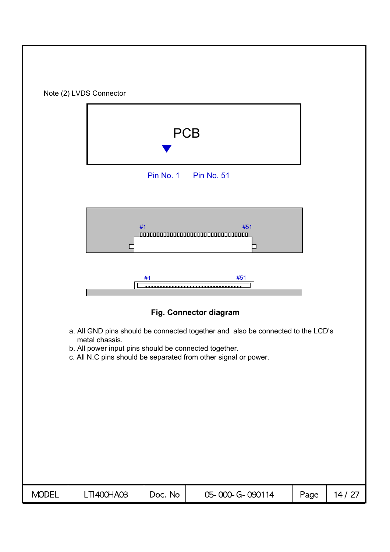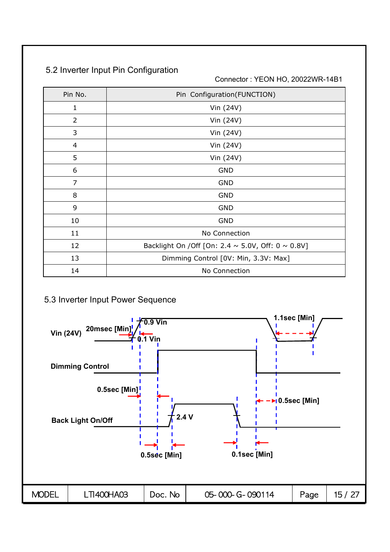## 5.2 Inverter Input Pin Configuration

Connector : YEON HO, 20022WR-14B1

| Pin No.        | Pin Configuration(FUNCTION)                                  |
|----------------|--------------------------------------------------------------|
| 1              | Vin (24V)                                                    |
| 2              | Vin (24V)                                                    |
| 3              | Vin (24V)                                                    |
| $\overline{4}$ | Vin (24V)                                                    |
| 5              | Vin (24V)                                                    |
| 6              | <b>GND</b>                                                   |
| $\overline{7}$ | <b>GND</b>                                                   |
| 8              | <b>GND</b>                                                   |
| 9              | <b>GND</b>                                                   |
| 10             | <b>GND</b>                                                   |
| 11             | No Connection                                                |
| 12             | Backlight On / Off [On: 2.4 $\sim$ 5.0V, Off: 0 $\sim$ 0.8V] |
| 13             | Dimming Control [0V: Min, 3.3V: Max]                         |
| 14             | No Connection                                                |

## 5.3 Inverter Input Power Sequence

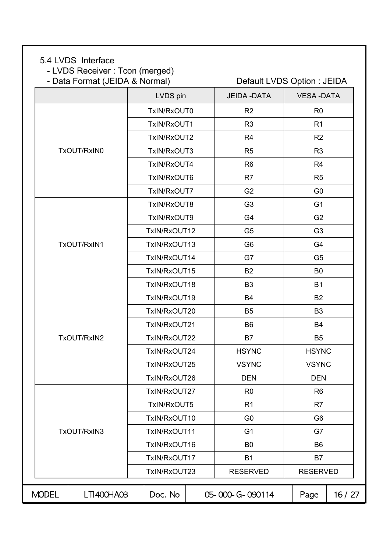#### 5.4 LVDS Interface

- LVDS Receiver : Tcon (merged)<br>- Data Format (JEIDA & Normal)

|              | - Data Format (JEIDA & Normal) |              | Default LVDS Option : JEIDA |                  |       |  |
|--------------|--------------------------------|--------------|-----------------------------|------------------|-------|--|
|              |                                | LVDS pin     | <b>JEIDA - DATA</b>         | <b>VESA-DATA</b> |       |  |
|              |                                | TxIN/RxOUT0  | R <sub>2</sub>              | R <sub>0</sub>   |       |  |
|              |                                | TxIN/RxOUT1  | R <sub>3</sub>              | R <sub>1</sub>   |       |  |
|              |                                | TxIN/RxOUT2  | R <sub>4</sub>              | R <sub>2</sub>   |       |  |
|              | TxOUT/RxIN0                    | TxIN/RxOUT3  | R <sub>5</sub>              | R <sub>3</sub>   |       |  |
|              |                                | TxIN/RxOUT4  | R <sub>6</sub>              | R <sub>4</sub>   |       |  |
|              |                                | TxIN/RxOUT6  | R <sub>7</sub>              | R <sub>5</sub>   |       |  |
|              |                                | TxIN/RxOUT7  | G <sub>2</sub>              | G <sub>0</sub>   |       |  |
|              |                                | TxIN/RxOUT8  | G <sub>3</sub>              | G <sub>1</sub>   |       |  |
|              |                                | TxIN/RxOUT9  | G4                          | G <sub>2</sub>   |       |  |
|              |                                | TxIN/RxOUT12 | G <sub>5</sub>              | G <sub>3</sub>   |       |  |
|              | TxOUT/RxIN1                    | TxIN/RxOUT13 | G <sub>6</sub>              | G <sub>4</sub>   |       |  |
|              |                                | TxIN/RxOUT14 | G7                          | G <sub>5</sub>   |       |  |
|              |                                | TxIN/RxOUT15 | <b>B2</b>                   | B <sub>0</sub>   |       |  |
|              |                                | TxIN/RxOUT18 | B <sub>3</sub>              | <b>B1</b>        |       |  |
|              |                                | TxIN/RxOUT19 | <b>B4</b>                   | <b>B2</b>        |       |  |
|              |                                | TxIN/RxOUT20 | <b>B5</b>                   | B <sub>3</sub>   |       |  |
|              |                                | TxIN/RxOUT21 | <b>B6</b>                   | <b>B4</b>        |       |  |
|              | TxOUT/RxIN2                    | TxIN/RxOUT22 | <b>B7</b>                   | B <sub>5</sub>   |       |  |
|              |                                | TxIN/RxOUT24 | <b>HSYNC</b>                | <b>HSYNC</b>     |       |  |
|              |                                | TxIN/RxOUT25 | <b>VSYNC</b>                | <b>VSYNC</b>     |       |  |
|              |                                | TxIN/RxOUT26 | <b>DEN</b>                  | <b>DEN</b>       |       |  |
|              |                                | TxIN/RxOUT27 | R <sub>0</sub>              | R <sub>6</sub>   |       |  |
|              |                                | TxIN/RxOUT5  | R <sub>1</sub>              | R7               |       |  |
|              |                                | TxIN/RxOUT10 | G <sub>0</sub>              | G <sub>6</sub>   |       |  |
|              | TxOUT/RxIN3                    | TxIN/RxOUT11 | G <sub>1</sub>              | G7               |       |  |
|              |                                | TxIN/RxOUT16 | B <sub>0</sub>              | B <sub>6</sub>   |       |  |
|              |                                | TxIN/RxOUT17 | <b>B1</b>                   | <b>B7</b>        |       |  |
|              |                                | TxIN/RxOUT23 | <b>RESERVED</b>             | <b>RESERVED</b>  |       |  |
| <b>MODEL</b> | LTI400HA03                     | Doc. No      | 05-000-G-090114             | Page             | 16/27 |  |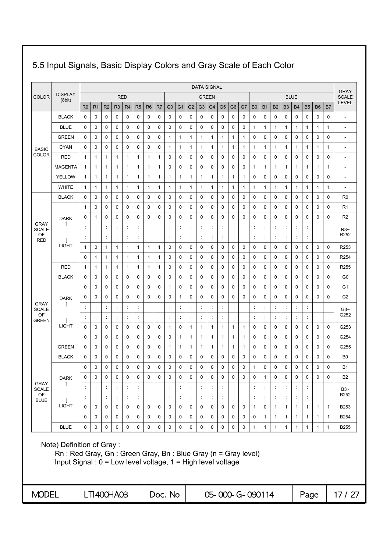|                             |                                                                                                                                                          |                |                      |                      |                      |                      |                      |                |             |                      |                |                      |                      | <b>DATA SIGNAL</b> |                |                 |              |                      |                      |                      |              |                |                      |              |                | <b>GRAY</b>              |
|-----------------------------|----------------------------------------------------------------------------------------------------------------------------------------------------------|----------------|----------------------|----------------------|----------------------|----------------------|----------------------|----------------|-------------|----------------------|----------------|----------------------|----------------------|--------------------|----------------|-----------------|--------------|----------------------|----------------------|----------------------|--------------|----------------|----------------------|--------------|----------------|--------------------------|
| <b>COLOR</b>                | <b>DISPLAY</b><br>(8bit)                                                                                                                                 |                |                      |                      |                      | <b>RED</b>           |                      |                |             |                      |                |                      |                      | <b>GREEN</b>       |                |                 |              |                      |                      |                      |              | <b>BLUE</b>    |                      |              |                | <b>SCALE</b>             |
|                             |                                                                                                                                                          | R <sub>0</sub> | R <sub>1</sub>       | R <sub>2</sub>       | R <sub>3</sub>       | R4                   | R <sub>5</sub>       | R <sub>6</sub> | R7          | G <sub>0</sub>       | G <sub>1</sub> | G <sub>2</sub>       | G <sub>3</sub>       | G <sub>4</sub>     | G <sub>5</sub> | G <sub>6</sub>  | G7           | B <sub>0</sub>       | <b>B1</b>            | <b>B2</b>            | <b>B3</b>    | <b>B4</b>      | <b>B5</b>            | <b>B6</b>    | B <sub>7</sub> | <b>LEVEL</b>             |
|                             | <b>BLACK</b>                                                                                                                                             | 0              | $\mathbf 0$          | $\mathbf 0$          | 0                    | 0                    | 0                    | 0              | 0           | 0                    | 0              | 0                    | 0                    | 0                  | 0              | 0               | 0            | 0                    | 0                    | 0                    | 0            | 0              | 0                    | 0            | 0              | $\overline{a}$           |
|                             | <b>BLUE</b>                                                                                                                                              | 0              | $\mathbf 0$          | 0                    | 0                    | 0                    | 0                    | 0              | $\mathbf 0$ | 0                    | 0              | $\mathbf 0$          | 0                    | $\mathbf 0$        | 0              | $\mathbf 0$     | 0            | 1                    | $\mathbf{1}$         | 1                    | 1            | $\mathbf{1}$   | 1                    | 1            | 1              | $\overline{a}$           |
|                             | <b>GREEN</b>                                                                                                                                             | 0              | $\mathbf 0$          | 0                    | 0                    | 0                    | 0                    | 0              | 0           | 1                    | 1              | 1                    | 1                    | 1                  | 1              | 1               | $\mathbf{1}$ | 0                    | 0                    | 0                    | 0            | $\mathbf 0$    | 0                    | 0            | 0              | ÷,                       |
| <b>BASIC</b>                | <b>CYAN</b>                                                                                                                                              | 0              | 0                    | 0                    | 0                    | 0                    | 0                    | 0              | 0           | 1                    | 1              | 1                    | 1                    | 1                  | 1              | 1               | $\mathbf{1}$ | 1                    | 1                    | 1                    | 1            | $\mathbf{1}$   | 1                    | 1            | 1              | $\overline{\phantom{a}}$ |
| COLOR                       | RED                                                                                                                                                      | $\mathbf{1}$   | $\mathbf{1}$         | 1                    | $\mathbf{1}$         | 1                    | $\mathbf{1}$         | 1              | 1           | 0                    | $\mathbf 0$    | 0                    | 0                    | 0                  | 0              | 0               | $\mathbf 0$  | 0                    | 0                    | 0                    | 0            | $\mathbf 0$    | 0                    | $\mathbf 0$  | $\mathbf 0$    | ٠                        |
|                             | <b>MAGENTA</b>                                                                                                                                           | 1              | $\mathbf{1}$         | 1                    | 1                    | 1                    | 1                    | 1              | 1           | 0                    | 0              | 0                    | 0                    | 0                  | 0              | 0               | 0            | $\mathbf{1}$         | 1                    | 1                    | 1            | $\mathbf{1}$   | 1                    | $\mathbf{1}$ | 1              | $\overline{\phantom{a}}$ |
|                             | <b>YELLOW</b>                                                                                                                                            | $\mathbf{1}$   | $\mathbf{1}$         | 1                    | $\mathbf{1}$         | $\mathbf{1}$         | 1                    | $\mathbf{1}$   | 1           | 1                    | $\mathbf{1}$   | 1                    | 1                    | 1                  | 1              | 1               | $\mathbf{1}$ | 0                    | 0                    | 0                    | 0            | $\mathbf 0$    | 0                    | $\mathbf 0$  | 0              | $\overline{a}$           |
|                             | <b>WHITE</b>                                                                                                                                             | $\mathbf{1}$   | $\mathbf{1}$         | 1                    | $\mathbf{1}$         | 1                    | 1                    | 1              | 1           | 1                    | 1              | 1                    | 1                    | 1                  | 1              | 1               | $\mathbf{1}$ | 1                    | $\mathbf{1}$         | 1                    | 1            | $\mathbf{1}$   | 1                    | $\mathbf{1}$ | 1              | $\overline{\phantom{a}}$ |
|                             | <b>BLACK</b>                                                                                                                                             | 0              | 0                    | 0                    | 0                    | 0                    | 0                    | 0              | 0           | 0                    | 0              | 0                    | 0                    | 0                  | 0              | 0               | 0            | 0                    | 0                    | 0                    | 0            | 0              | 0                    | 0            | 0              | R <sub>0</sub>           |
|                             |                                                                                                                                                          | 1              | 0                    | 0                    | 0                    | 0                    | 0                    | 0              | 0           | 0                    | 0              | 0                    | 0                    | 0                  | 0              | 0               | 0            | 0                    | 0                    | 0                    | 0            | 0              | 0                    | 0            | 0              | R <sub>1</sub>           |
| <b>GRAY</b>                 | <b>DARK</b>                                                                                                                                              | 0              | 1                    | 0                    | 0                    | 0                    | 0                    | 0              | 0           | 0                    | 0              | 0                    | 0                    | 0                  | 0              | 0               | 0            | 0                    | 0                    | 0                    | 0            | 0              | 0                    | 0            | 0              | R <sub>2</sub>           |
| <b>SCALE</b>                |                                                                                                                                                          | ÷              | $\ddot{\phantom{a}}$ | ÷                    | $\ddot{\cdot}$       | $\ddot{\phantom{a}}$ | $\ddot{\cdot}$       |                |             | ÷                    | $\ddot{\cdot}$ | ÷                    | d                    | $\ddot{\cdot}$     | ÷              |                 |              | ÷                    | $\ddot{\cdot}$       | $\ddot{\phantom{a}}$ | ÷            | $\ddot{\cdot}$ | ÷                    |              |                | $R3-$                    |
| OF<br><b>RED</b>            |                                                                                                                                                          | $\ddot{\cdot}$ | $\ddot{\cdot}$       | $\ddot{\cdot}$       |                      | $\ddot{\phantom{a}}$ | $\ddot{\cdot}$       |                |             | $\ddot{\cdot}$       | $\vdots$       | $\ddot{\phantom{a}}$ | ¢                    | $\ddot{\cdot}$     | $\vdots$       |                 |              | $\ddot{\cdot}$       | $\vdots$             | $\ddot{\phantom{a}}$ |              | $\ddot{\cdot}$ | $\ddot{\phantom{a}}$ |              |                | R <sub>252</sub>         |
|                             | <b>LIGHT</b>                                                                                                                                             | 1              | $\mathbf 0$          | 1                    | $\mathbf{1}$         | 1                    | 1                    | 1              | 1           | 0                    | 0              | 0                    | 0                    | 0                  | 0              | 0               | 0            | 0                    | 0                    | 0                    | 0            | 0              | 0                    | 0            | 0              | R253                     |
|                             |                                                                                                                                                          | 0              | 1                    | 1                    | 1                    | 1                    | 1                    | 1              | 1           | 0                    | 0              | 0                    | 0                    | 0                  | 0              | 0               | 0            | 0                    | 0                    | 0                    | 0            | $\mathbf 0$    | 0                    | 0            | 0              | R <sub>254</sub>         |
|                             | <b>RED</b>                                                                                                                                               | 1              | 1                    | 1                    | 1                    | 1                    | 1                    | 1              | 1           | 0                    | 0              | 0                    | 0                    | 0                  | 0              | 0               | 0            | 0                    | 0                    | 0                    | 0            | 0              | 0                    | 0            | 0              | R <sub>255</sub>         |
|                             | <b>BLACK</b>                                                                                                                                             | 0              | 0                    | 0                    | 0                    | 0                    | 0                    | 0              | 0           | 0                    | 0              | 0                    | 0                    | 0                  | 0              | 0               | 0            | 0                    | 0                    | 0                    | 0            | 0              | 0                    | 0            | 0              | G0                       |
|                             |                                                                                                                                                          | 0              | 0                    | 0                    | 0                    | 0                    | 0                    | 0              | 0           | 1                    | 0              | 0                    | 0                    | 0                  | 0              | 0               | 0            | 0                    | 0                    | 0                    | 0            | $\mathbf 0$    | 0                    | $\mathbf 0$  | 0              | G1                       |
|                             | <b>DARK</b>                                                                                                                                              | 0              | $\mathbf 0$          | 0                    | $\mathbf 0$          | 0                    | 0                    | $\mathbf 0$    | 0           | 0                    | $\mathbf{1}$   | 0                    | 0                    | $\mathbf 0$        | 0              | $\mathbf 0$     | $\mathbf 0$  | 0                    | 0                    | 0                    | 0            | $\mathbf 0$    | 0                    | $\mathbf 0$  | 0              | G <sub>2</sub>           |
| <b>GRAY</b><br><b>SCALE</b> |                                                                                                                                                          |                | $\ddot{\phantom{a}}$ |                      |                      | ÷                    | ÷                    |                |             |                      | ÷              |                      |                      | $\ddot{\cdot}$     |                |                 |              | ÷                    | $\ddot{\phantom{a}}$ |                      |              | $\ddot{\cdot}$ | ÷                    |              |                | $G3-$                    |
| OF<br><b>GREEN</b>          |                                                                                                                                                          |                | $\ddot{\phantom{a}}$ |                      |                      | $\ddot{\cdot}$       | ÷                    |                |             | ċ                    | ÷              |                      |                      | $\ddot{\cdot}$     | ÷              |                 |              | ċ                    | ÷                    | ÷                    |              | $\ddot{\cdot}$ | $\ddot{\cdot}$       |              |                | G252                     |
|                             | LIGHT                                                                                                                                                    | 0              | 0                    | 0                    | 0                    | 0                    | 0                    | 0              | 0           | 1                    | 0              | 1                    | 1                    | 1                  | 1              | 1               | $\mathbf{1}$ | 0                    | 0                    | 0                    | 0            | 0              | 0                    | 0            | 0              | G253                     |
|                             |                                                                                                                                                          | $\mathbf 0$    | 0                    | 0                    | 0                    | 0                    | 0                    | 0              | 0           | 0                    | 1              | 1                    | 1                    | 1                  | 1              | 1               | $\mathbf{1}$ | 0                    | 0                    | 0                    | 0            | 0              | 0                    | 0            | 0              | G254                     |
|                             | <b>GREEN</b>                                                                                                                                             | 0              | $\mathbf 0$          | 0                    | 0                    | 0                    | 0                    | 0              | 0           | 1                    | 1              | 1                    | 1                    | 1                  | 1              | 1               | $\mathbf{1}$ | 0                    | 0                    | 0                    | 0            | $\mathbf 0$    | 0                    | 0            | 0              | G255                     |
|                             | <b>BLACK</b>                                                                                                                                             | 0              | 0                    | 0                    | 0                    | 0                    | 0                    | 0              | 0           | 0                    | 0              | 0                    | 0                    | 0                  | 0              | $\mathbf 0$     | 0            | 0                    | 0                    | 0                    | 0            | 0              | 0                    | 0            | 0              | B <sub>0</sub>           |
|                             |                                                                                                                                                          | 0              | 0                    | 0                    | 0                    | 0                    | 0                    | 0              | 0           | 0                    | $\mathbf 0$    | 0                    | 0                    | $\mathbf 0$        | 0              | $\mathbf 0$     | 0            | 1                    | 0                    | 0                    | 0            | $\mathbf 0$    | 0                    | 0            | 0              | <b>B1</b>                |
| <b>GRAY</b>                 | <b>DARK</b>                                                                                                                                              | 0              | $\mathbf 0$          | $\mathbf 0$          | $\mathbf 0$          | $\mathbf 0$          | $\mathbf 0$          | $\mathbf 0$    | $\mathbf 0$ | 0                    | $\mathbf 0$    | $\mathbf 0$          | $\mathbf 0$          | $\mathbf 0$        | $\mathbf 0$    | $\mathbf 0$     | $\mathbf 0$  | 0                    | $\mathbf{1}$         | $\mathbf 0$          | $\mathbf 0$  | $\mathbf 0$    | $\mathbf 0$          | $\mathbf 0$  | $\Omega$       | <b>B2</b>                |
| <b>SCALE</b>                |                                                                                                                                                          |                | $\ddot{\phantom{a}}$ |                      | $\ddot{\phantom{a}}$ | $\ddot{\cdot}$       | $\ddot{\phantom{a}}$ |                |             |                      |                |                      |                      | $\ddot{\cdot}$     |                |                 |              | $\ddot{\phantom{a}}$ | ÷                    |                      |              | $\ddot{\cdot}$ |                      |              |                | $B3-$                    |
| OF<br><b>BLUE</b>           |                                                                                                                                                          | ÷              | $\ddot{\cdot}$       | $\ddot{\phantom{a}}$ | ÷                    | $\ddot{\phantom{a}}$ | ÷                    |                |             | $\ddot{\phantom{a}}$ | ÷              | $\ddot{\cdot}$       | $\ddot{\phantom{a}}$ | $\vdots$           | ÷              |                 |              | ÷                    | ÷                    | ţ,                   | ÷            | ÷              | ÷                    |              |                | B252                     |
|                             | <b>LIGHT</b>                                                                                                                                             | 0              | $\mathbf 0$          | 0                    | 0                    | 0                    | 0                    | $\mathbf 0$    | $\mathbf 0$ | 0                    | 0              | $\mathbf 0$          | 0                    | 0                  | 0              | $\mathbf 0$     | $\mathbf 0$  | $\mathbf{1}$         | 0                    | $\mathbf{1}$         | $\mathbf{1}$ | $\mathbf{1}$   | $\mathbf{1}$         | $\mathbf{1}$ | $\mathbf{1}$   | B253                     |
|                             |                                                                                                                                                          | $\mathbf 0$    | $\mathbf 0$          | $\mathbf 0$          | $\mathbf 0$          | $\mathbf 0$          | $\mathbf 0$          | $\mathbf 0$    | $\mathbf 0$ | 0                    | 0              | $\pmb{0}$            | $\mathbf 0$          | $\mathbf 0$        | $\mathbf 0$    | $\mathbf 0$     | 0            | $\mathbf 0$          | $\mathbf{1}$         | $\mathbf{1}$         | $\mathbf{1}$ | $\mathbf{1}$   | $\mathbf{1}$         | $\mathbf{1}$ | $\mathbf{1}$   | B254                     |
|                             | <b>BLUE</b>                                                                                                                                              | 0              | $\mathbf 0$          | 0                    | $\mathbf 0$          | $\mathbf 0$          | 0                    | $\mathbf 0$    | 0           | 0                    | $\mathbf 0$    | $\mathsf 0$          | 0                    | 0                  | $\pmb{0}$      | $\mathbf 0$     | 0            | $\mathbf{1}$         | $\mathbf{1}$         | $\mathbf{1}$         | $\mathbf{1}$ | $\mathbf{1}$   | $\mathbf{1}$         | $\mathbf{1}$ | $\mathbf{1}$   | <b>B255</b>              |
|                             | Note) Definition of Gray:<br>Rn: Red Gray, Gn: Green Gray, Bn: Blue Gray (n = Gray level)<br>Input Signal: 0 = Low level voltage, 1 = High level voltage |                |                      |                      |                      |                      |                      |                |             |                      |                |                      |                      |                    |                |                 |              |                      |                      |                      |              |                |                      |              |                |                          |
| <b>MODEL</b>                |                                                                                                                                                          |                | LTI400HA03           |                      |                      |                      |                      |                |             | Doc. No              |                |                      |                      |                    |                | 05-000-G-090114 |              |                      |                      |                      |              |                | Page                 |              |                | 17/27                    |

# 5.5 Input Signals, Basic Display Colors and Gray Scale of Each Color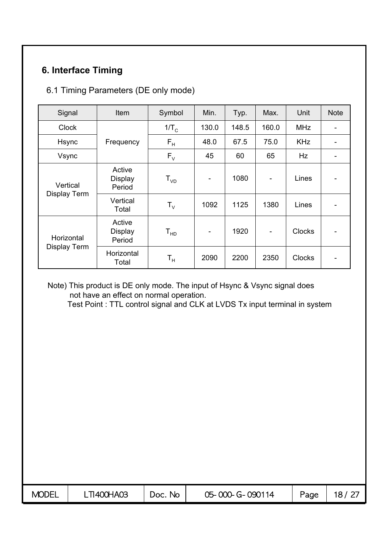# **6. Interface Timing**

#### 6.1 Timing Parameters (DE only mode)

| Signal                     | Item                               | Symbol                  | Min.                         | Typ.  | Max.           | Unit          | <b>Note</b> |
|----------------------------|------------------------------------|-------------------------|------------------------------|-------|----------------|---------------|-------------|
| <b>Clock</b>               |                                    | $1/T_c$                 | 130.0                        | 148.5 | 160.0          | <b>MHz</b>    |             |
| <b>Hsync</b>               | Frequency                          | $\mathsf{F}_\mathsf{H}$ | 48.0                         | 67.5  | 75.0           | <b>KHz</b>    |             |
| Vsync                      |                                    | $F_{V}$                 | 45                           | 60    | 65             | Hz            |             |
| Vertical<br>Display Term   | Active<br><b>Display</b><br>Period | $T_{VD}$                | $\qquad \qquad \blacksquare$ | 1080  |                | Lines         |             |
|                            | Vertical<br>Total                  | ${\sf T}_{\sf V}$       | 1092                         | 1125  | 1380           | Lines         |             |
| Horizontal<br>Display Term | Active<br><b>Display</b><br>Period | $T_{HD}$                | $\blacksquare$               | 1920  | $\blacksquare$ | <b>Clocks</b> |             |
|                            | Horizontal<br>Total                | T <sub>н</sub>          | 2090                         | 2200  | 2350           | <b>Clocks</b> |             |

#### Note) This product is DE only mode. The input of Hsync & Vsync signal does not have an effect on normal operation.

Test Point : TTL control signal and CLK at LVDS Tx input terminal in system

| <b>MODEL</b> | T1400HA03 | No.<br>Doc. | 05-000-G-090114 | Page | 12 |
|--------------|-----------|-------------|-----------------|------|----|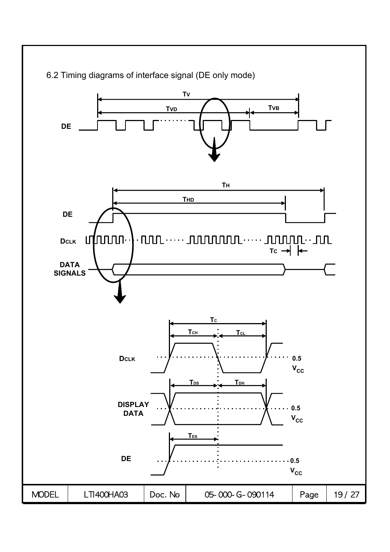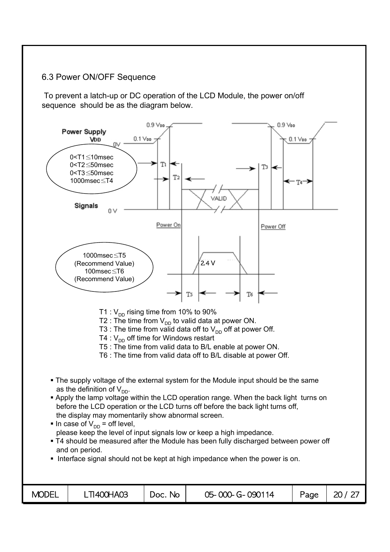#### 6.3 Power ON/OFF Sequence

To prevent a latch-up or DC operation of the LCD Module, the power on/off sequence should be as the diagram below.

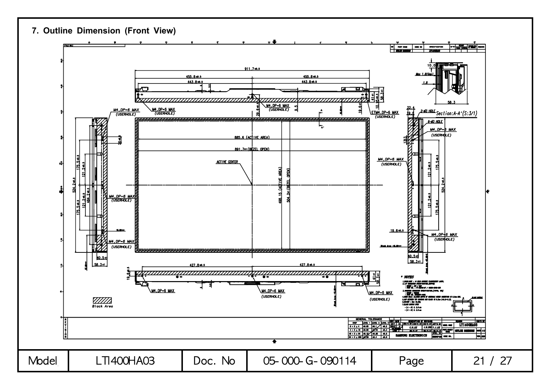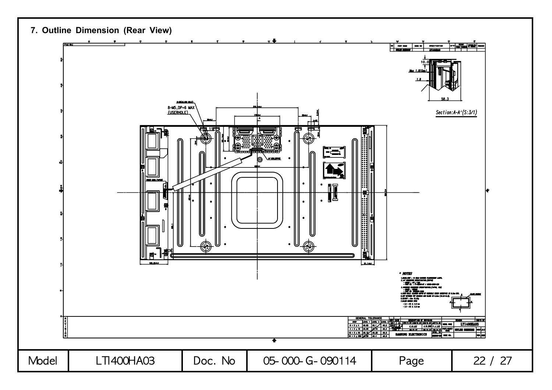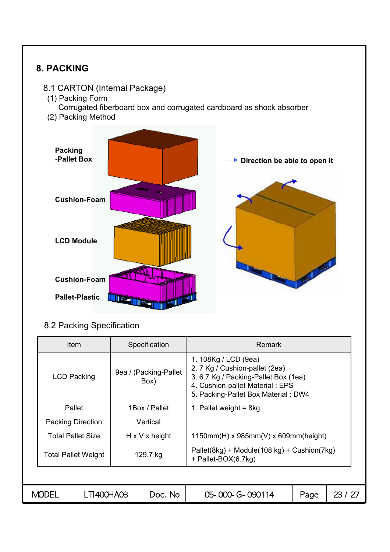

| Specification<br><b>Item</b>           |                    |         |                               | <b>Remark</b>                                                                                                                                                            |       |  |  |  |  |
|----------------------------------------|--------------------|---------|-------------------------------|--------------------------------------------------------------------------------------------------------------------------------------------------------------------------|-------|--|--|--|--|
|                                        | <b>LCD Packing</b> |         | 9ea / (Packing-Pallet<br>Box) | 1. 108Kg / LCD (9ea)<br>2. 7 Kg / Cushion-pallet (2ea)<br>3. 6.7 Kg / Packing-Pallet Box (1ea)<br>4. Cushion-pallet Material: EPS<br>5. Packing-Pallet Box Material: DW4 |       |  |  |  |  |
| Pallet<br>1Box / Pallet                |                    |         |                               | 1. Pallet weight = $8kg$                                                                                                                                                 |       |  |  |  |  |
| <b>Packing Direction</b><br>Vertical   |                    |         |                               |                                                                                                                                                                          |       |  |  |  |  |
| <b>Total Pallet Size</b>               |                    |         | $H \times V \times$ height    | $1150mm(H)$ x 985mm(V) x 609mm(height)                                                                                                                                   |       |  |  |  |  |
| 129.7 kg<br><b>Total Pallet Weight</b> |                    |         |                               | Pallet(8kg) + Module(108 kg) + Cushion(7kg)<br>+ Pallet-BOX(6.7kg)                                                                                                       |       |  |  |  |  |
|                                        |                    |         |                               |                                                                                                                                                                          |       |  |  |  |  |
| LTI400HA03<br><b>MODEL</b>             |                    | Doc. No | 05-000-G-090114               | Page                                                                                                                                                                     | 23/27 |  |  |  |  |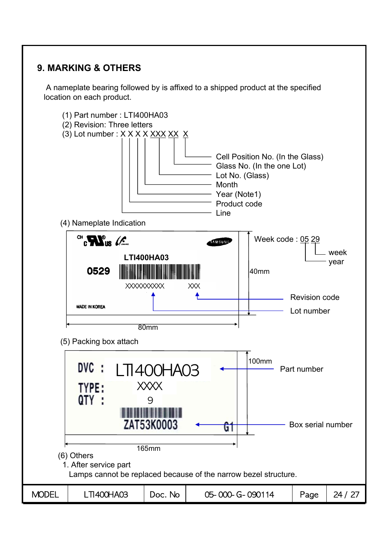## **9. MARKING & OTHERS**

A nameplate bearing followed by is affixed to a shipped product at the specified location on each product.

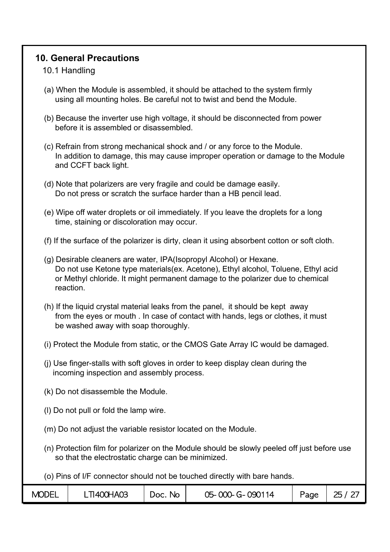## **10. General Precautions**

#### 10.1 Handling

- (a) When the Module is assembled, it should be attached to the system firmly using all mounting holes. Be careful not to twist and bend the Module.
- (b) Because the inverter use high voltage, it should be disconnected from power before it is assembled or disassembled.
- (c) Refrain from strong mechanical shock and / or any force to the Module. In addition to damage, this may cause improper operation or damage to the Module and CCFT back light.
- (d) Note that polarizers are very fragile and could be damage easily. Do not press or scratch the surface harder than a HB pencil lead.
- (e) Wipe off water droplets or oil immediately. If you leave the droplets for a long time, staining or discoloration may occur.
- (f) If the surface of the polarizer is dirty, clean it using absorbent cotton or soft cloth.
- (g) Desirable cleaners are water, IPA(Isopropyl Alcohol) or Hexane. Do not use Ketone type materials(ex. Acetone), Ethyl alcohol, Toluene, Ethyl acid or Methyl chloride. It might permanent damage to the polarizer due to chemical reaction.
- (h) If the liquid crystal material leaks from the panel, it should be kept away from the eyes or mouth . In case of contact with hands, legs or clothes, it must be washed away with soap thoroughly.
- (i) Protect the Module from static, or the CMOS Gate Array IC would be damaged.
- (j) Use finger-stalls with soft gloves in order to keep display clean during the incoming inspection and assembly process.
- (k) Do not disassemble the Module.
- (l) Do not pull or fold the lamp wire.
- (m) Do not adjust the variable resistor located on the Module.
- (n) Protection film for polarizer on the Module should be slowly peeled off just before use so that the electrostatic charge can be minimized.

(o) Pins of I/F connector should not be touched directly with bare hands.

| <b>MODEL</b> | <b>TI400HA03</b> | No.<br>JOC. | 05-000-G-090114 | Page | つら |
|--------------|------------------|-------------|-----------------|------|----|
|--------------|------------------|-------------|-----------------|------|----|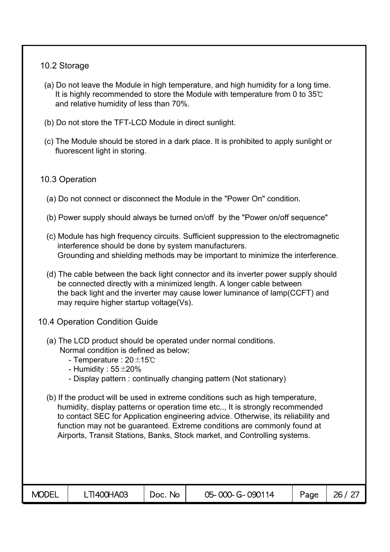#### 10.2 Storage

- (a) Do not leave the Module in high temperature, and high humidity for a long time. It is highly recommended to store the Module with temperature from 0 to 35℃ and relative humidity of less than 70%.
- (b) Do not store the TFT-LCD Module in direct sunlight.
- (c) The Module should be stored in a dark place. It is prohibited to apply sunlight or fluorescent light in storing.

#### 10.3 Operation

- (a) Do not connect or disconnect the Module in the "Power On" condition.
- (b) Power supply should always be turned on/off by the "Power on/off sequence"
- (c) Module has high frequency circuits. Sufficient suppression to the electromagnetic interference should be done by system manufacturers. Grounding and shielding methods may be important to minimize the interference.
- (d) The cable between the back light connector and its inverter power supply should be connected directly with a minimized length. A longer cable between the back light and the inverter may cause lower luminance of lamp(CCFT) and may require higher startup voltage(Vs).
- 10.4 Operation Condition Guide
	- (a) The LCD product should be operated under normal conditions. Normal condition is defined as below;
		- Temperature : 20±15℃
		- Humidity :  $55\pm20\%$
		- Display pattern : continually changing pattern (Not stationary)
	- (b) If the product will be used in extreme conditions such as high temperature, humidity, display patterns or operation time etc.., It is strongly recommended to contact SEC for Application engineering advice. Otherwise, its reliability and function may not be guaranteed. Extreme conditions are commonly found at Airports, Transit Stations, Banks, Stock market, and Controlling systems.

| <b>MODEL</b> | LTI400HA03 | Doc. No | 05-000-G-090114 | Page | 26/27 |
|--------------|------------|---------|-----------------|------|-------|